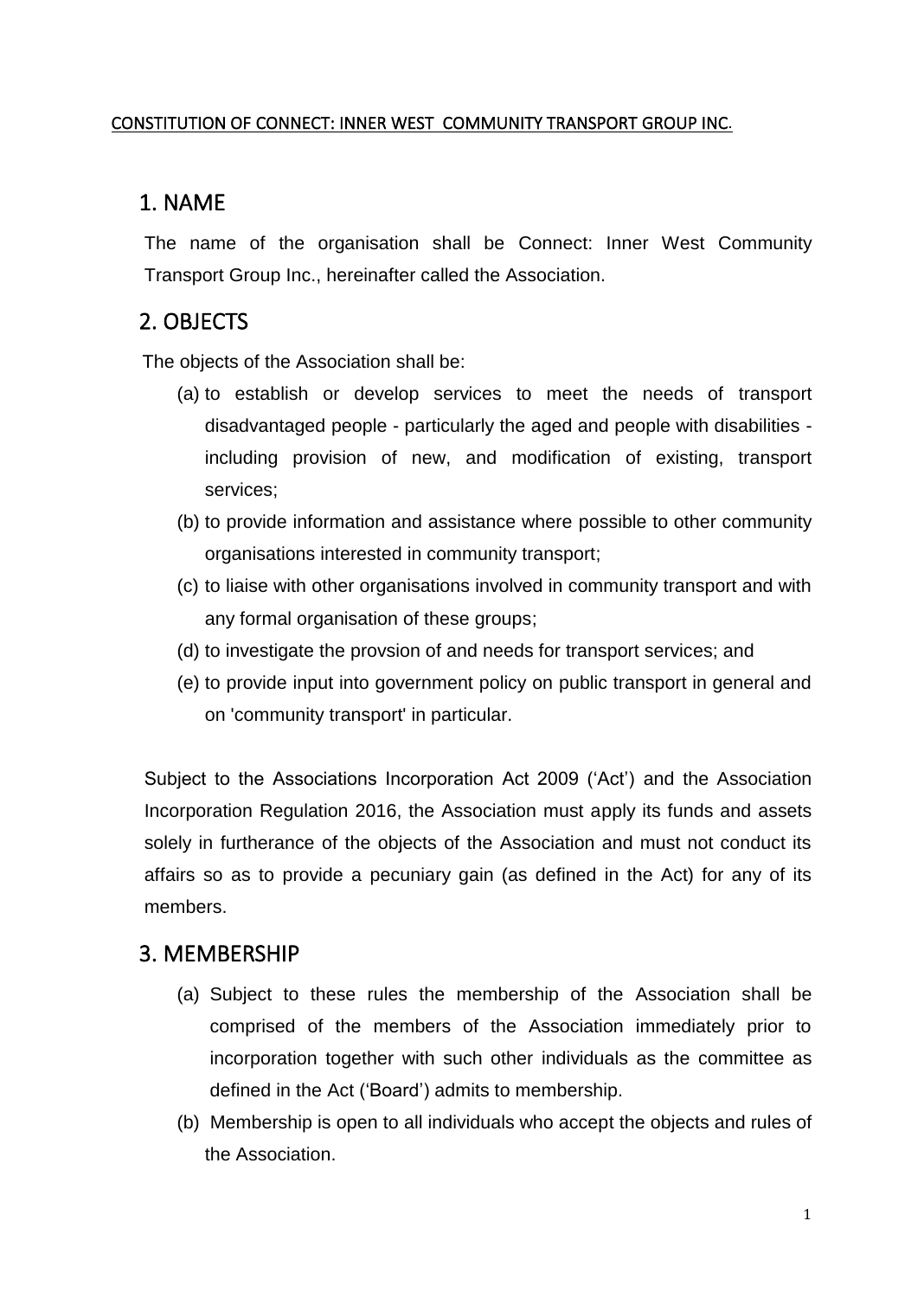#### CONSTITUTION OF CONNECT: INNER WEST COMMUNITY TRANSPORT GROUP INC.

# 1. NAME

The name of the organisation shall be Connect: Inner West Community Transport Group Inc., hereinafter called the Association.

# 2. OBJECTS

The objects of the Association shall be:

- (a) to establish or develop services to meet the needs of transport disadvantaged people - particularly the aged and people with disabilities including provision of new, and modification of existing, transport services;
- (b) to provide information and assistance where possible to other community organisations interested in community transport;
- (c) to liaise with other organisations involved in community transport and with any formal organisation of these groups;
- (d) to investigate the provsion of and needs for transport services; and
- (e) to provide input into government policy on public transport in general and on 'community transport' in particular.

Subject to the Associations Incorporation Act 2009 ('Act') and the Association Incorporation Regulation 2016, the Association must apply its funds and assets solely in furtherance of the objects of the Association and must not conduct its affairs so as to provide a pecuniary gain (as defined in the Act) for any of its members.

# 3. MEMBERSHIP

- (a) Subject to these rules the membership of the Association shall be comprised of the members of the Association immediately prior to incorporation together with such other individuals as the committee as defined in the Act ('Board') admits to membership.
- (b) Membership is open to all individuals who accept the objects and rules of the Association.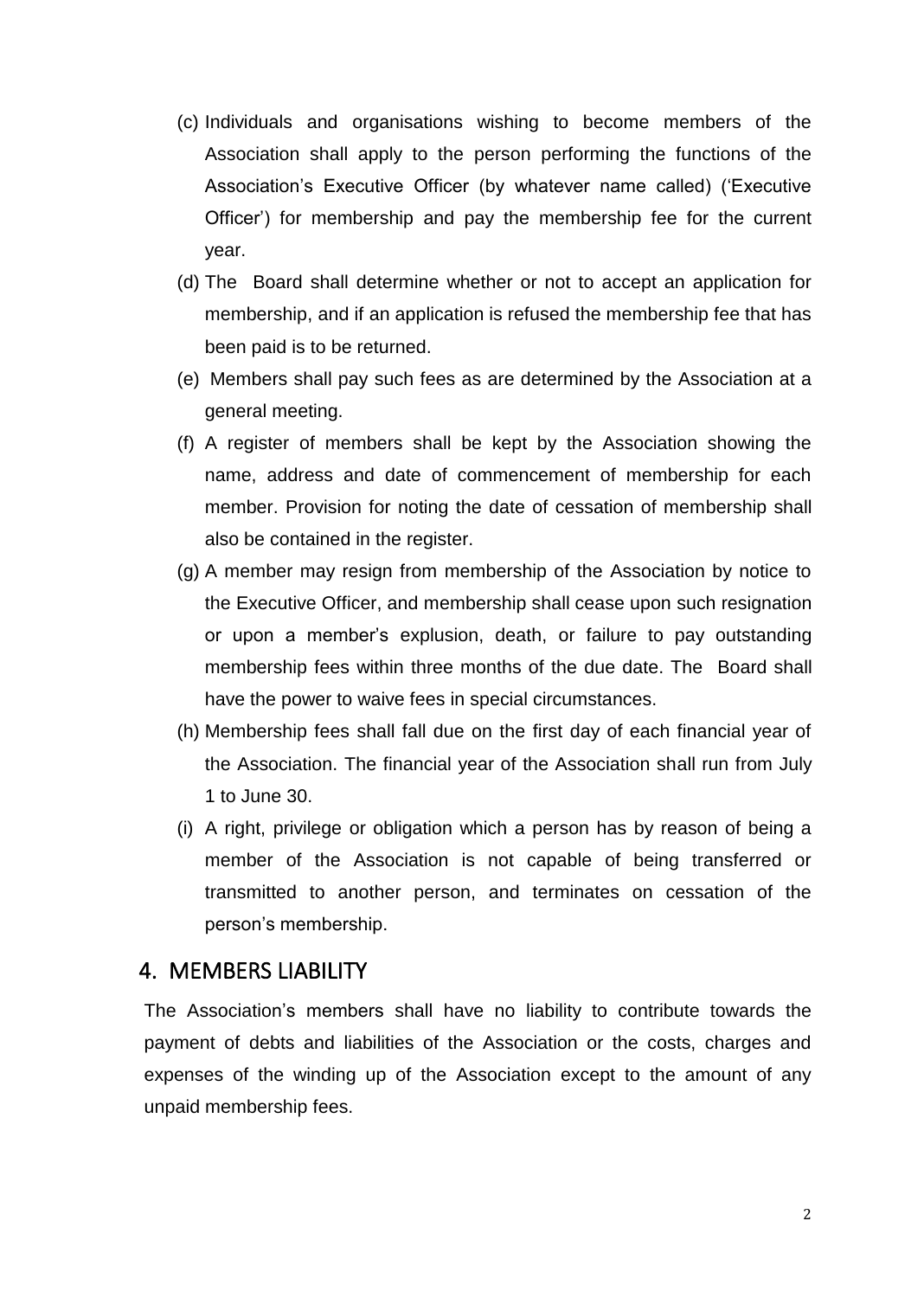- (c) Individuals and organisations wishing to become members of the Association shall apply to the person performing the functions of the Association's Executive Officer (by whatever name called) ('Executive Officer') for membership and pay the membership fee for the current year.
- (d) The Board shall determine whether or not to accept an application for membership, and if an application is refused the membership fee that has been paid is to be returned.
- (e) Members shall pay such fees as are determined by the Association at a general meeting.
- (f) A register of members shall be kept by the Association showing the name, address and date of commencement of membership for each member. Provision for noting the date of cessation of membership shall also be contained in the register.
- (g) A member may resign from membership of the Association by notice to the Executive Officer, and membership shall cease upon such resignation or upon a member's explusion, death, or failure to pay outstanding membership fees within three months of the due date. The Board shall have the power to waive fees in special circumstances.
- (h) Membership fees shall fall due on the first day of each financial year of the Association. The financial year of the Association shall run from July 1 to June 30.
- (i) A right, privilege or obligation which a person has by reason of being a member of the Association is not capable of being transferred or transmitted to another person, and terminates on cessation of the person's membership.

#### 4. MEMBERS LIABILITY

The Association's members shall have no liability to contribute towards the payment of debts and liabilities of the Association or the costs, charges and expenses of the winding up of the Association except to the amount of any unpaid membership fees.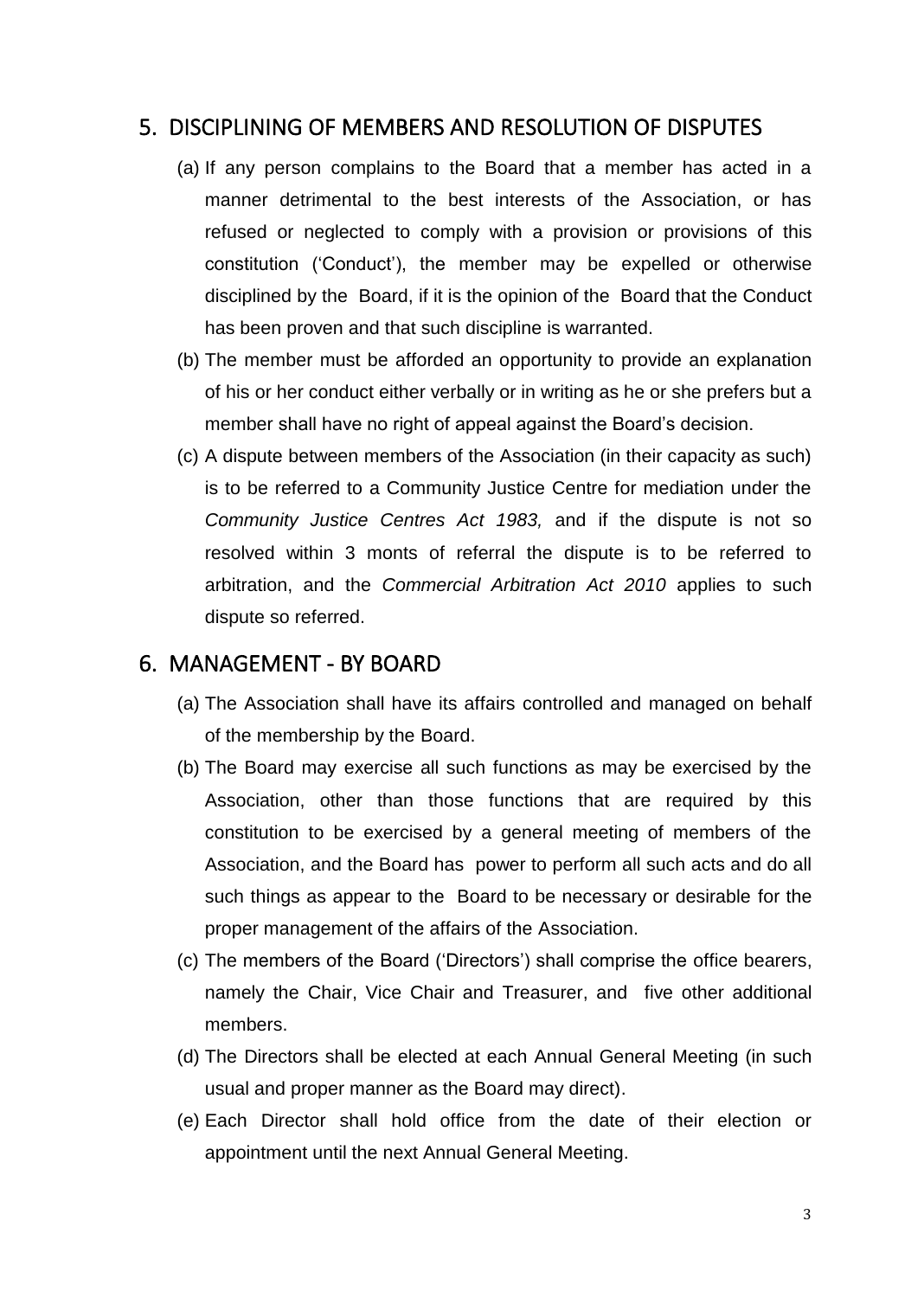# 5. DISCIPLINING OF MEMBERS AND RESOLUTION OF DISPUTES

- (a) If any person complains to the Board that a member has acted in a manner detrimental to the best interests of the Association, or has refused or neglected to comply with a provision or provisions of this constitution ('Conduct'), the member may be expelled or otherwise disciplined by the Board, if it is the opinion of the Board that the Conduct has been proven and that such discipline is warranted.
- (b) The member must be afforded an opportunity to provide an explanation of his or her conduct either verbally or in writing as he or she prefers but a member shall have no right of appeal against the Board's decision.
- (c) A dispute between members of the Association (in their capacity as such) is to be referred to a Community Justice Centre for mediation under the *Community Justice Centres Act 1983,* and if the dispute is not so resolved within 3 monts of referral the dispute is to be referred to arbitration, and the *Commercial Arbitration Act 2010* applies to such dispute so referred.

## 6. MANAGEMENT - BY BOARD

- (a) The Association shall have its affairs controlled and managed on behalf of the membership by the Board.
- (b) The Board may exercise all such functions as may be exercised by the Association, other than those functions that are required by this constitution to be exercised by a general meeting of members of the Association, and the Board has power to perform all such acts and do all such things as appear to the Board to be necessary or desirable for the proper management of the affairs of the Association.
- (c) The members of the Board ('Directors') shall comprise the office bearers, namely the Chair, Vice Chair and Treasurer, and five other additional members.
- (d) The Directors shall be elected at each Annual General Meeting (in such usual and proper manner as the Board may direct).
- (e) Each Director shall hold office from the date of their election or appointment until the next Annual General Meeting.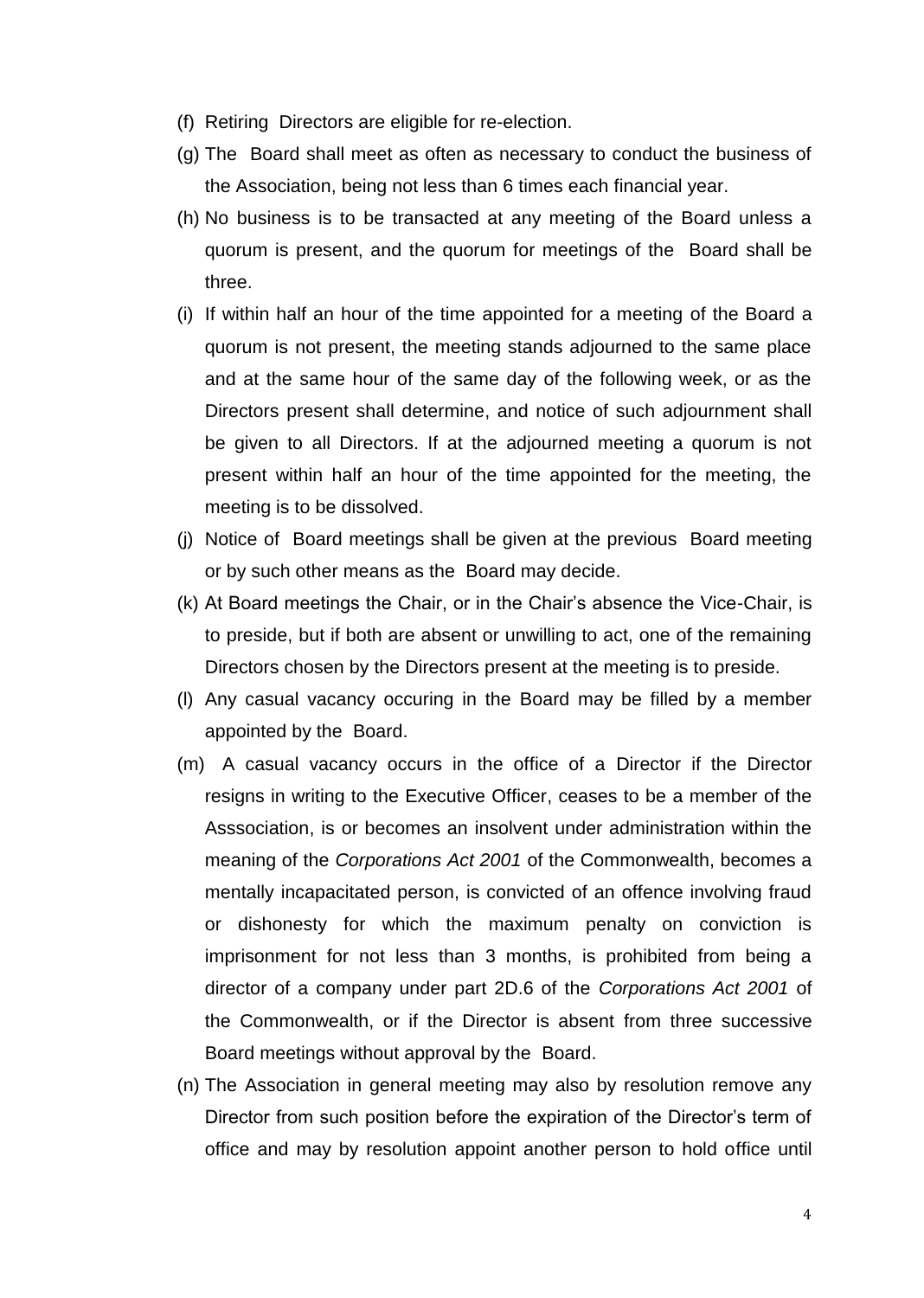- (f) Retiring Directors are eligible for re-election.
- (g) The Board shall meet as often as necessary to conduct the business of the Association, being not less than 6 times each financial year.
- (h) No business is to be transacted at any meeting of the Board unless a quorum is present, and the quorum for meetings of the Board shall be three.
- (i) If within half an hour of the time appointed for a meeting of the Board a quorum is not present, the meeting stands adjourned to the same place and at the same hour of the same day of the following week, or as the Directors present shall determine, and notice of such adjournment shall be given to all Directors. If at the adjourned meeting a quorum is not present within half an hour of the time appointed for the meeting, the meeting is to be dissolved.
- (j) Notice of Board meetings shall be given at the previous Board meeting or by such other means as the Board may decide.
- (k) At Board meetings the Chair, or in the Chair's absence the Vice-Chair, is to preside, but if both are absent or unwilling to act, one of the remaining Directors chosen by the Directors present at the meeting is to preside.
- (l) Any casual vacancy occuring in the Board may be filled by a member appointed by the Board.
- (m) A casual vacancy occurs in the office of a Director if the Director resigns in writing to the Executive Officer, ceases to be a member of the Asssociation, is or becomes an insolvent under administration within the meaning of the *Corporations Act 2001* of the Commonwealth, becomes a mentally incapacitated person, is convicted of an offence involving fraud or dishonesty for which the maximum penalty on conviction is imprisonment for not less than 3 months, is prohibited from being a director of a company under part 2D.6 of the *Corporations Act 2001* of the Commonwealth, or if the Director is absent from three successive Board meetings without approval by the Board.
- (n) The Association in general meeting may also by resolution remove any Director from such position before the expiration of the Director's term of office and may by resolution appoint another person to hold office until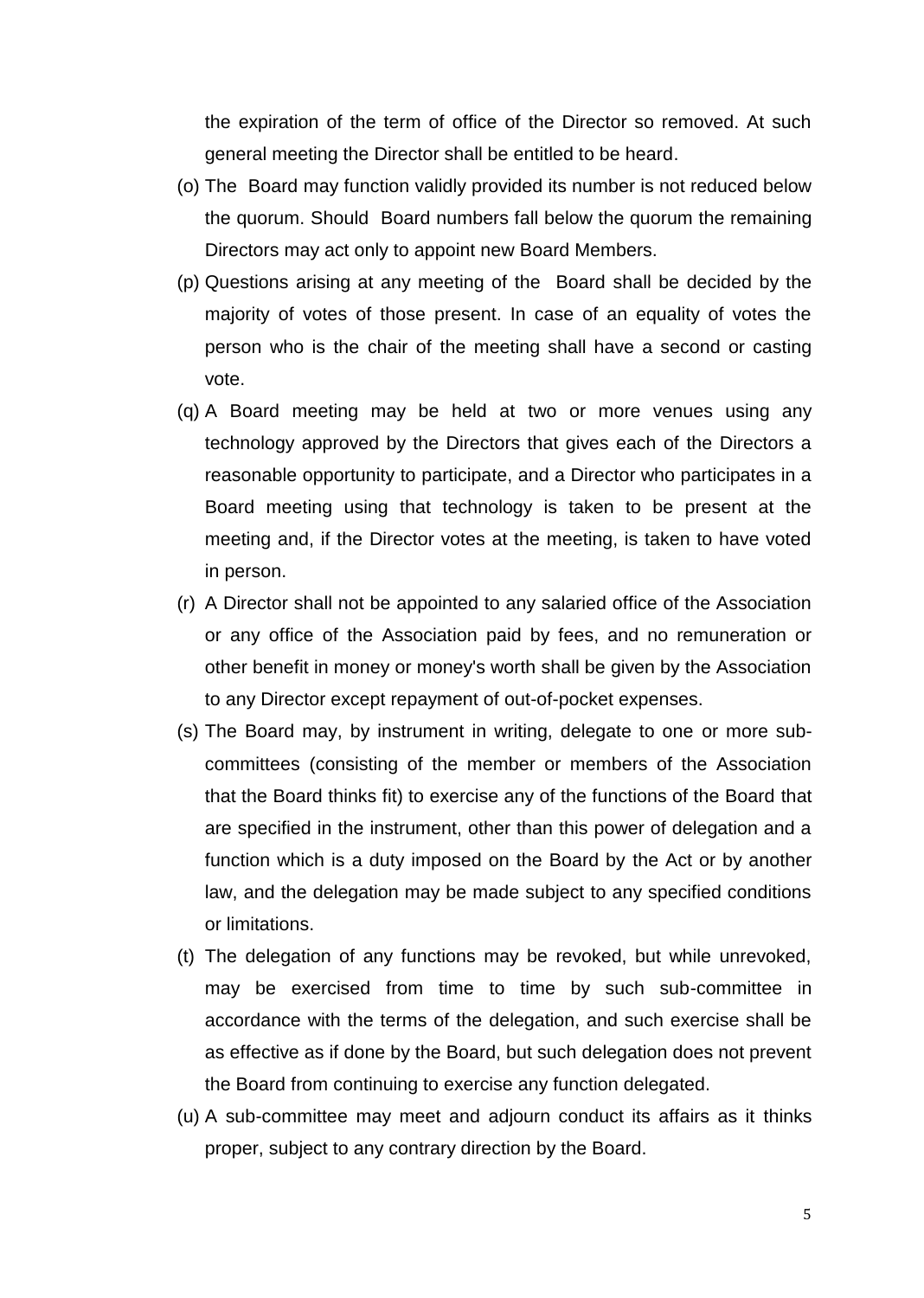the expiration of the term of office of the Director so removed. At such general meeting the Director shall be entitled to be heard.

- (o) The Board may function validly provided its number is not reduced below the quorum. Should Board numbers fall below the quorum the remaining Directors may act only to appoint new Board Members.
- (p) Questions arising at any meeting of the Board shall be decided by the majority of votes of those present. In case of an equality of votes the person who is the chair of the meeting shall have a second or casting vote.
- (q) A Board meeting may be held at two or more venues using any technology approved by the Directors that gives each of the Directors a reasonable opportunity to participate, and a Director who participates in a Board meeting using that technology is taken to be present at the meeting and, if the Director votes at the meeting, is taken to have voted in person.
- (r) A Director shall not be appointed to any salaried office of the Association or any office of the Association paid by fees, and no remuneration or other benefit in money or money's worth shall be given by the Association to any Director except repayment of out-of-pocket expenses.
- (s) The Board may, by instrument in writing, delegate to one or more subcommittees (consisting of the member or members of the Association that the Board thinks fit) to exercise any of the functions of the Board that are specified in the instrument, other than this power of delegation and a function which is a duty imposed on the Board by the Act or by another law, and the delegation may be made subject to any specified conditions or limitations.
- (t) The delegation of any functions may be revoked, but while unrevoked, may be exercised from time to time by such sub-committee in accordance with the terms of the delegation, and such exercise shall be as effective as if done by the Board, but such delegation does not prevent the Board from continuing to exercise any function delegated.
- (u) A sub-committee may meet and adjourn conduct its affairs as it thinks proper, subject to any contrary direction by the Board.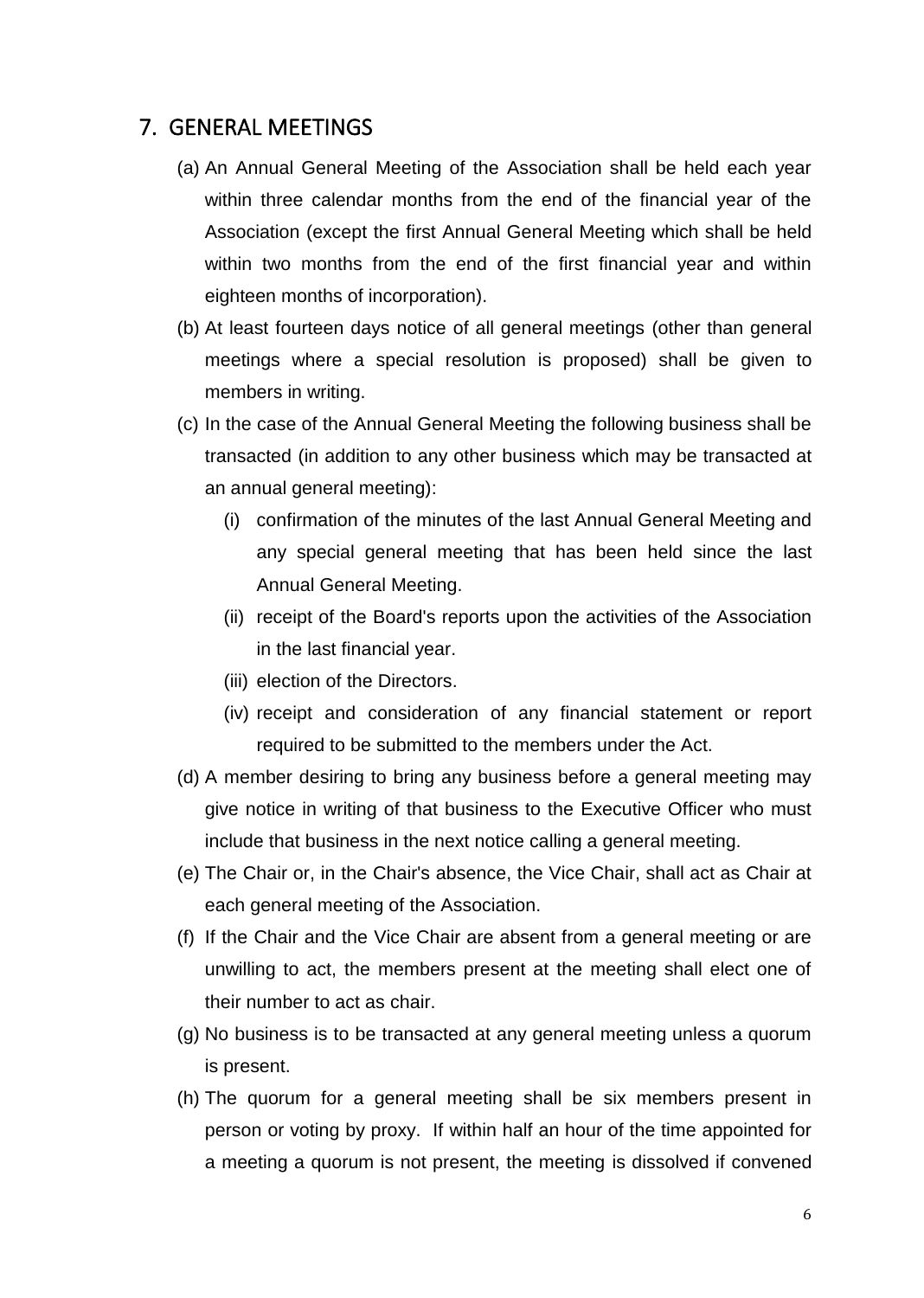### 7. GENERAL MEETINGS

- (a) An Annual General Meeting of the Association shall be held each year within three calendar months from the end of the financial year of the Association (except the first Annual General Meeting which shall be held within two months from the end of the first financial year and within eighteen months of incorporation).
- (b) At least fourteen days notice of all general meetings (other than general meetings where a special resolution is proposed) shall be given to members in writing.
- (c) In the case of the Annual General Meeting the following business shall be transacted (in addition to any other business which may be transacted at an annual general meeting):
	- (i) confirmation of the minutes of the last Annual General Meeting and any special general meeting that has been held since the last Annual General Meeting.
	- (ii) receipt of the Board's reports upon the activities of the Association in the last financial year.
	- (iii) election of the Directors.
	- (iv) receipt and consideration of any financial statement or report required to be submitted to the members under the Act.
- (d) A member desiring to bring any business before a general meeting may give notice in writing of that business to the Executive Officer who must include that business in the next notice calling a general meeting.
- (e) The Chair or, in the Chair's absence, the Vice Chair, shall act as Chair at each general meeting of the Association.
- (f) If the Chair and the Vice Chair are absent from a general meeting or are unwilling to act, the members present at the meeting shall elect one of their number to act as chair.
- (g) No business is to be transacted at any general meeting unless a quorum is present.
- (h) The quorum for a general meeting shall be six members present in person or voting by proxy. If within half an hour of the time appointed for a meeting a quorum is not present, the meeting is dissolved if convened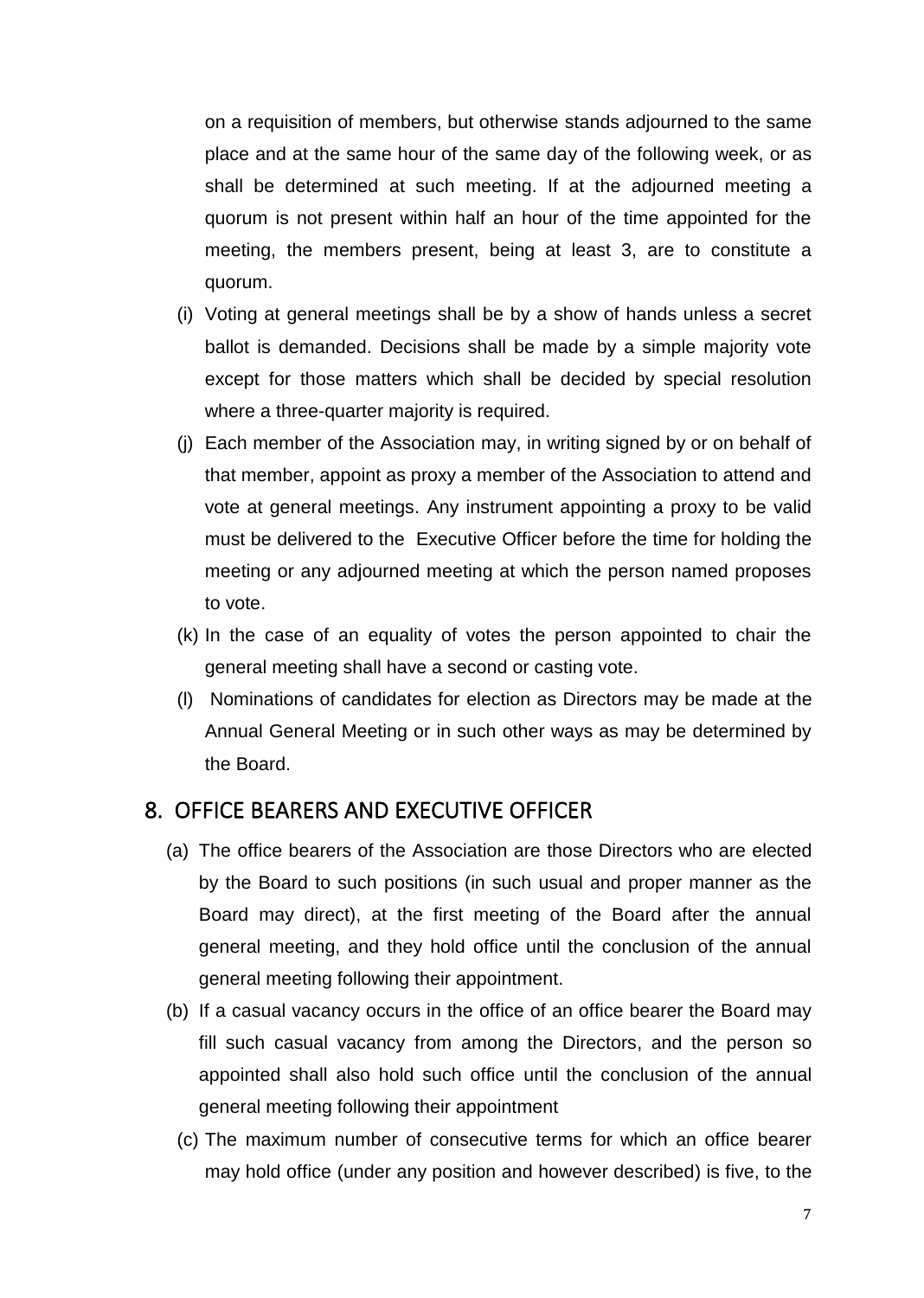on a requisition of members, but otherwise stands adjourned to the same place and at the same hour of the same day of the following week, or as shall be determined at such meeting. If at the adjourned meeting a quorum is not present within half an hour of the time appointed for the meeting, the members present, being at least 3, are to constitute a quorum.

- (i) Voting at general meetings shall be by a show of hands unless a secret ballot is demanded. Decisions shall be made by a simple majority vote except for those matters which shall be decided by special resolution where a three-quarter majority is required.
- (j) Each member of the Association may, in writing signed by or on behalf of that member, appoint as proxy a member of the Association to attend and vote at general meetings. Any instrument appointing a proxy to be valid must be delivered to the Executive Officer before the time for holding the meeting or any adjourned meeting at which the person named proposes to vote.
- (k) In the case of an equality of votes the person appointed to chair the general meeting shall have a second or casting vote.
- (l) Nominations of candidates for election as Directors may be made at the Annual General Meeting or in such other ways as may be determined by the Board.

#### 8. OFFICE BEARERS AND EXECUTIVE OFFICER

- (a) The office bearers of the Association are those Directors who are elected by the Board to such positions (in such usual and proper manner as the Board may direct), at the first meeting of the Board after the annual general meeting, and they hold office until the conclusion of the annual general meeting following their appointment.
- (b) If a casual vacancy occurs in the office of an office bearer the Board may fill such casual vacancy from among the Directors, and the person so appointed shall also hold such office until the conclusion of the annual general meeting following their appointment
	- (c) The maximum number of consecutive terms for which an office bearer may hold office (under any position and however described) is five, to the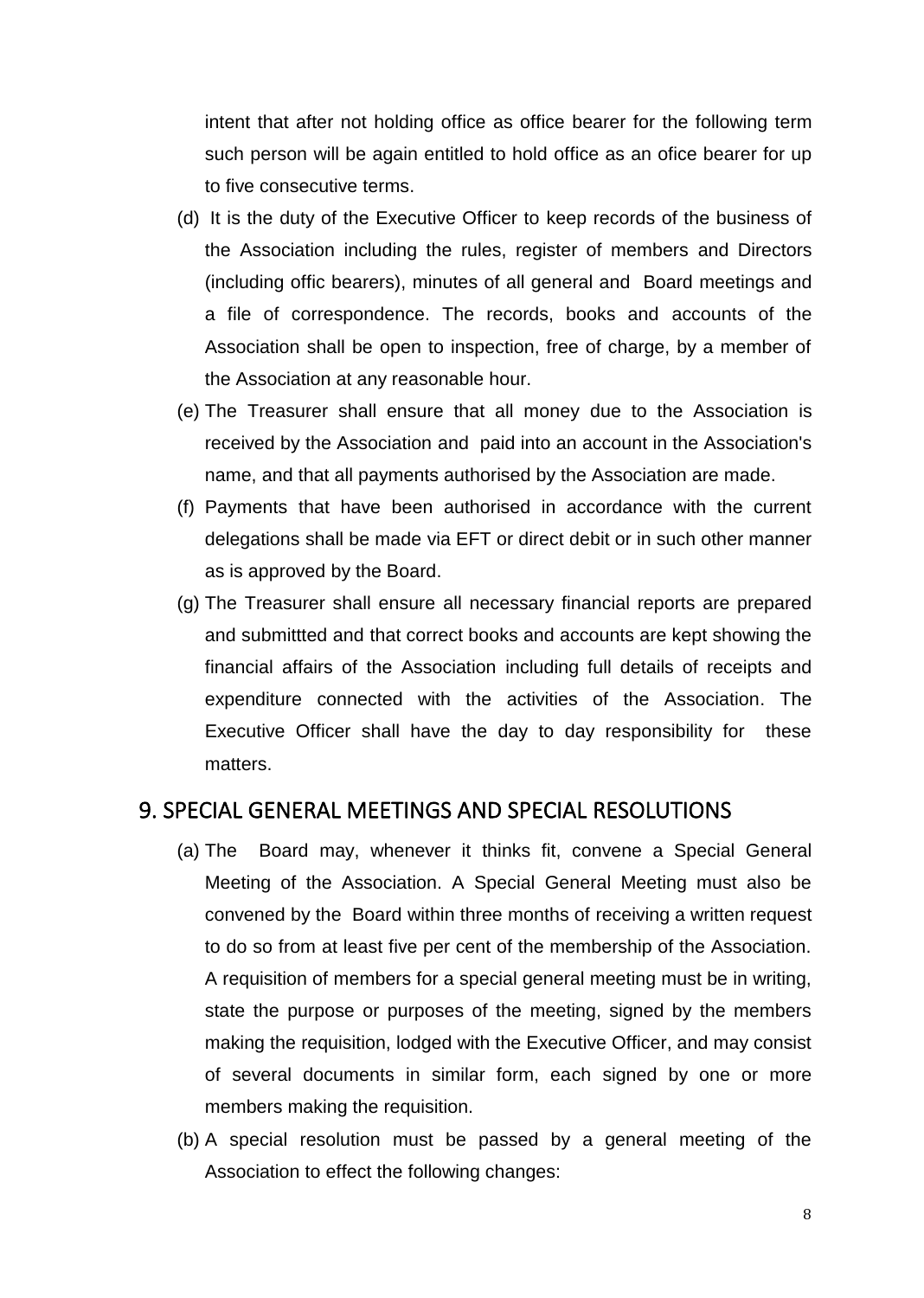intent that after not holding office as office bearer for the following term such person will be again entitled to hold office as an ofice bearer for up to five consecutive terms.

- (d) It is the duty of the Executive Officer to keep records of the business of the Association including the rules, register of members and Directors (including offic bearers), minutes of all general and Board meetings and a file of correspondence. The records, books and accounts of the Association shall be open to inspection, free of charge, by a member of the Association at any reasonable hour.
- (e) The Treasurer shall ensure that all money due to the Association is received by the Association and paid into an account in the Association's name, and that all payments authorised by the Association are made.
- (f) Payments that have been authorised in accordance with the current delegations shall be made via EFT or direct debit or in such other manner as is approved by the Board.
- (g) The Treasurer shall ensure all necessary financial reports are prepared and submittted and that correct books and accounts are kept showing the financial affairs of the Association including full details of receipts and expenditure connected with the activities of the Association. The Executive Officer shall have the day to day responsibility for these matters.

#### 9. SPECIAL GENERAL MEETINGS AND SPECIAL RESOLUTIONS

- (a) The Board may, whenever it thinks fit, convene a Special General Meeting of the Association. A Special General Meeting must also be convened by the Board within three months of receiving a written request to do so from at least five per cent of the membership of the Association. A requisition of members for a special general meeting must be in writing, state the purpose or purposes of the meeting, signed by the members making the requisition, lodged with the Executive Officer, and may consist of several documents in similar form, each signed by one or more members making the requisition.
- (b) A special resolution must be passed by a general meeting of the Association to effect the following changes: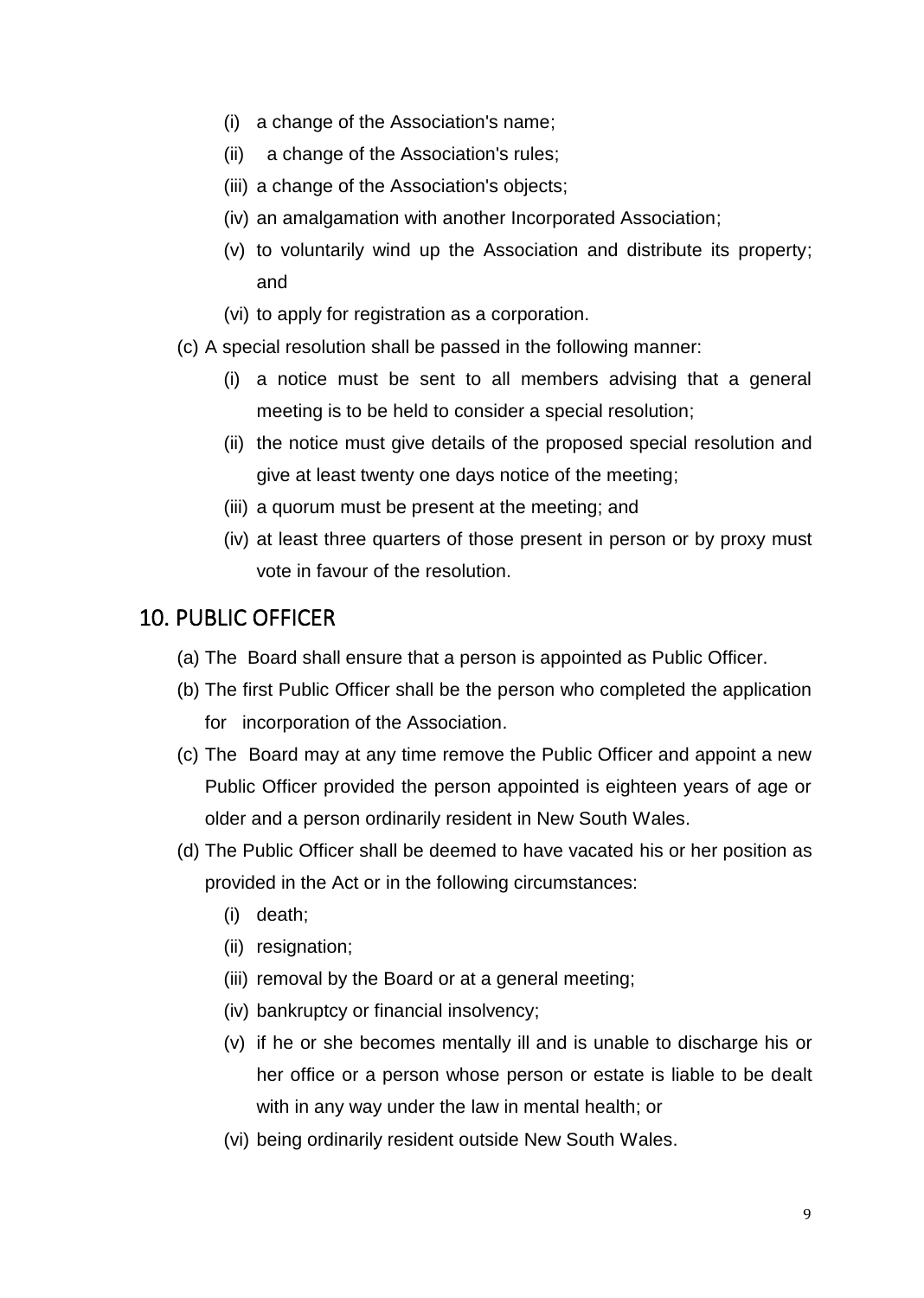- (i) a change of the Association's name;
- (ii) a change of the Association's rules;
- (iii) a change of the Association's objects;
- (iv) an amalgamation with another Incorporated Association;
- (v) to voluntarily wind up the Association and distribute its property; and
- (vi) to apply for registration as a corporation.
- (c) A special resolution shall be passed in the following manner:
	- (i) a notice must be sent to all members advising that a general meeting is to be held to consider a special resolution;
	- (ii) the notice must give details of the proposed special resolution and give at least twenty one days notice of the meeting;
	- (iii) a quorum must be present at the meeting; and
	- (iv) at least three quarters of those present in person or by proxy must vote in favour of the resolution.

### 10. PUBLIC OFFICER

- (a) The Board shall ensure that a person is appointed as Public Officer.
- (b) The first Public Officer shall be the person who completed the application for incorporation of the Association.
- (c) The Board may at any time remove the Public Officer and appoint a new Public Officer provided the person appointed is eighteen years of age or older and a person ordinarily resident in New South Wales.
- (d) The Public Officer shall be deemed to have vacated his or her position as provided in the Act or in the following circumstances:
	- (i) death;
	- (ii) resignation;
	- (iii) removal by the Board or at a general meeting;
	- (iv) bankruptcy or financial insolvency;
	- (v) if he or she becomes mentally ill and is unable to discharge his or her office or a person whose person or estate is liable to be dealt with in any way under the law in mental health; or
	- (vi) being ordinarily resident outside New South Wales.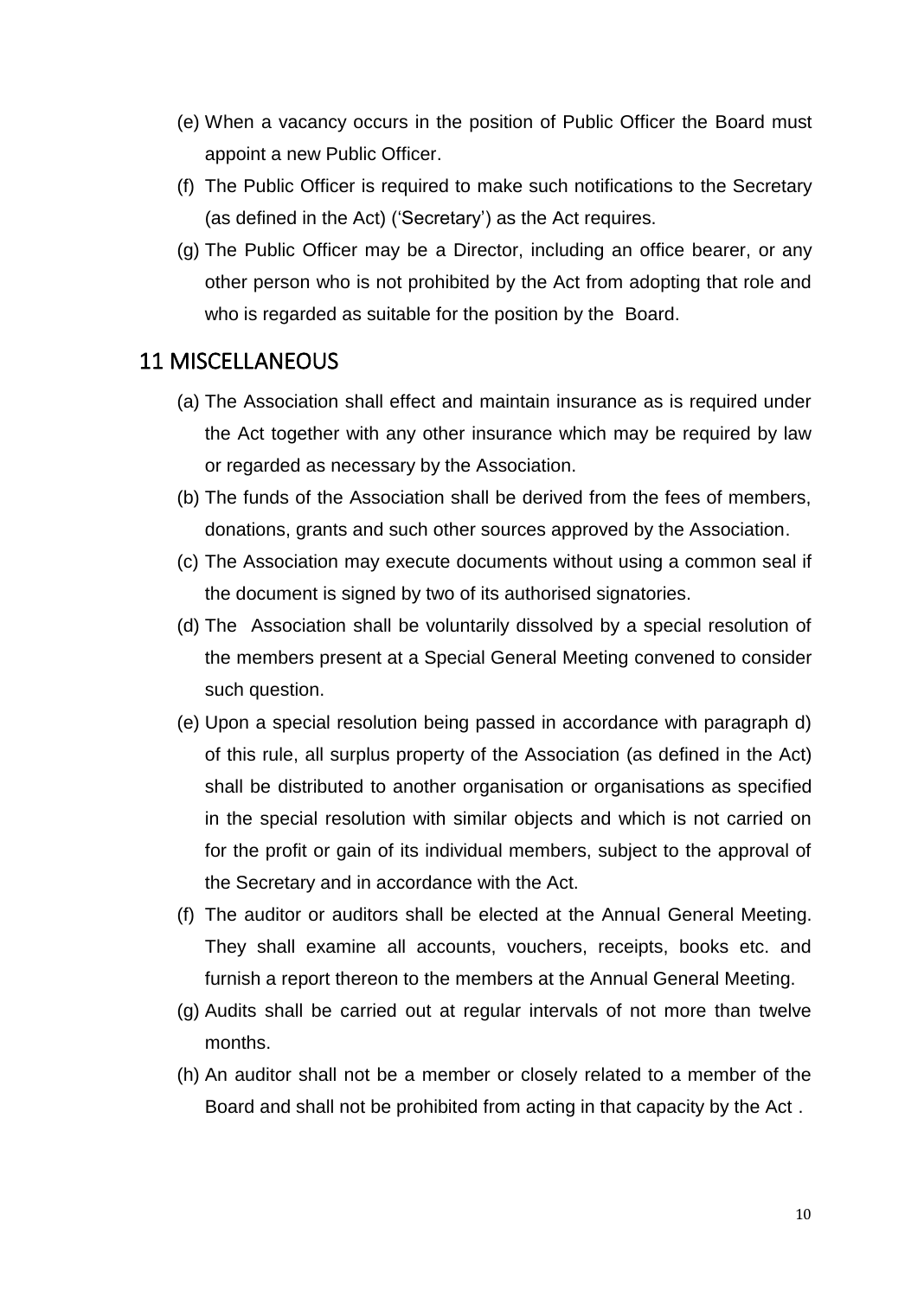- (e) When a vacancy occurs in the position of Public Officer the Board must appoint a new Public Officer.
- (f) The Public Officer is required to make such notifications to the Secretary (as defined in the Act) ('Secretary') as the Act requires.
- (g) The Public Officer may be a Director, including an office bearer, or any other person who is not prohibited by the Act from adopting that role and who is regarded as suitable for the position by the Board.

## 11 MISCELLANEOUS

- (a) The Association shall effect and maintain insurance as is required under the Act together with any other insurance which may be required by law or regarded as necessary by the Association.
- (b) The funds of the Association shall be derived from the fees of members, donations, grants and such other sources approved by the Association.
- (c) The Association may execute documents without using a common seal if the document is signed by two of its authorised signatories.
- (d) The Association shall be voluntarily dissolved by a special resolution of the members present at a Special General Meeting convened to consider such question.
- (e) Upon a special resolution being passed in accordance with paragraph d) of this rule, all surplus property of the Association (as defined in the Act) shall be distributed to another organisation or organisations as specified in the special resolution with similar objects and which is not carried on for the profit or gain of its individual members, subject to the approval of the Secretary and in accordance with the Act.
- (f) The auditor or auditors shall be elected at the Annual General Meeting. They shall examine all accounts, vouchers, receipts, books etc. and furnish a report thereon to the members at the Annual General Meeting.
- (g) Audits shall be carried out at regular intervals of not more than twelve months.
- (h) An auditor shall not be a member or closely related to a member of the Board and shall not be prohibited from acting in that capacity by the Act .